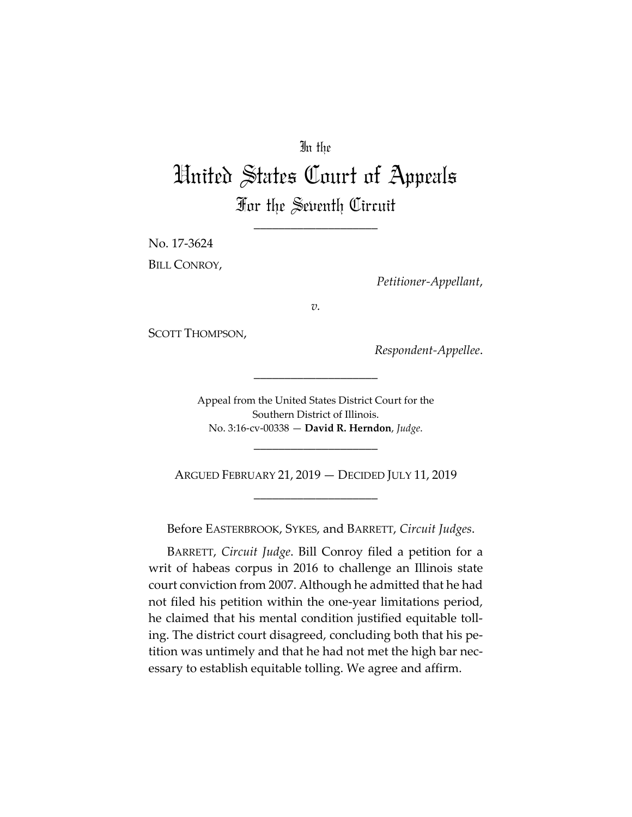## In the

## United States Court of Appeals For the Seventh Circuit

\_\_\_\_\_\_\_\_\_\_\_\_\_\_\_\_\_\_\_\_

No. 17‐3624 BILL CONROY,

*Petitioner‐Appellant*,

*v.*

SCOTT THOMPSON,

*Respondent‐Appellee*.

Appeal from the United States District Court for the Southern District of Illinois. No. 3:16‐cv‐00338 — **David R. Herndon**, *Judge*.

\_\_\_\_\_\_\_\_\_\_\_\_\_\_\_\_\_\_\_\_

\_\_\_\_\_\_\_\_\_\_\_\_\_\_\_\_\_\_\_\_

ARGUED FEBRUARY 21, 2019 — DECIDED JULY 11, 2019 \_\_\_\_\_\_\_\_\_\_\_\_\_\_\_\_\_\_\_\_

Before EASTERBROOK, SYKES, and BARRETT, *Circuit Judges*.

BARRETT, *Circuit Judge*. Bill Conroy filed a petition for a writ of habeas corpus in 2016 to challenge an Illinois state court conviction from 2007. Although he admitted that he had not filed his petition within the one‐year limitations period, he claimed that his mental condition justified equitable tolling. The district court disagreed, concluding both that his pe‐ tition was untimely and that he had not met the high bar nec‐ essary to establish equitable tolling. We agree and affirm.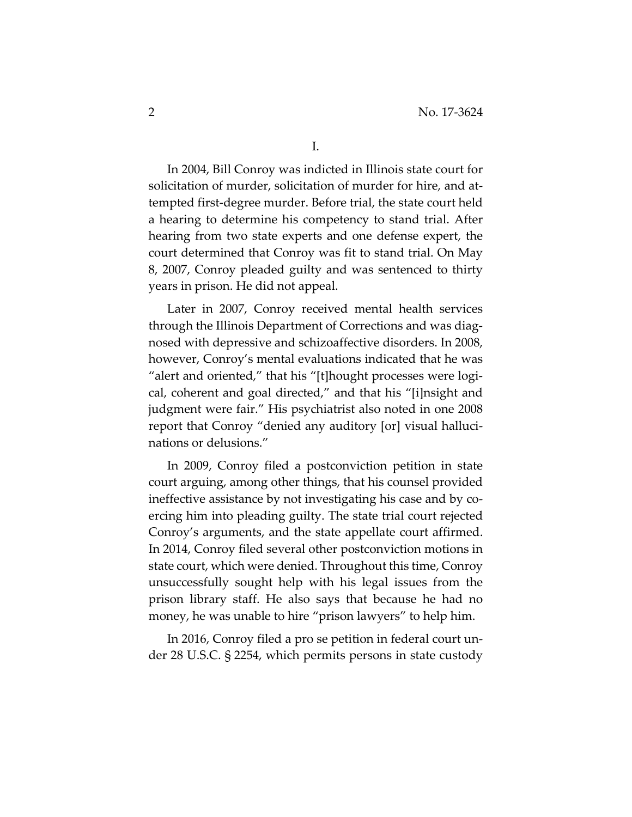In 2004, Bill Conroy was indicted in Illinois state court for solicitation of murder, solicitation of murder for hire, and attempted first‐degree murder. Before trial, the state court held a hearing to determine his competency to stand trial. After hearing from two state experts and one defense expert, the court determined that Conroy was fit to stand trial. On May 8, 2007, Conroy pleaded guilty and was sentenced to thirty years in prison. He did not appeal.

Later in 2007, Conroy received mental health services through the Illinois Department of Corrections and was diag‐ nosed with depressive and schizoaffective disorders. In 2008, however, Conroy's mental evaluations indicated that he was "alert and oriented," that his "[t]hought processes were logical, coherent and goal directed," and that his "[i]nsight and judgment were fair." His psychiatrist also noted in one 2008 report that Conroy "denied any auditory [or] visual hallucinations or delusions."

In 2009, Conroy filed a postconviction petition in state court arguing, among other things, that his counsel provided ineffective assistance by not investigating his case and by coercing him into pleading guilty. The state trial court rejected Conroy's arguments, and the state appellate court affirmed. In 2014, Conroy filed several other postconviction motions in state court, which were denied. Throughout this time, Conroy unsuccessfully sought help with his legal issues from the prison library staff. He also says that because he had no money, he was unable to hire "prison lawyers" to help him.

In 2016, Conroy filed a pro se petition in federal court un‐ der 28 U.S.C. § 2254, which permits persons in state custody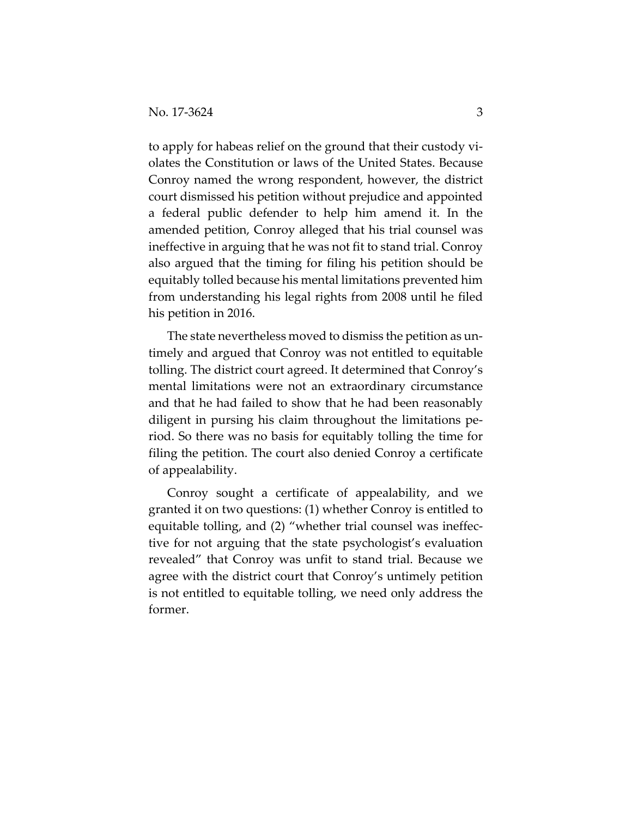to apply for habeas relief on the ground that their custody vi‐ olates the Constitution or laws of the United States. Because Conroy named the wrong respondent, however, the district court dismissed his petition without prejudice and appointed a federal public defender to help him amend it. In the amended petition, Conroy alleged that his trial counsel was ineffective in arguing that he was not fit to stand trial. Conroy also argued that the timing for filing his petition should be equitably tolled because his mental limitations prevented him from understanding his legal rights from 2008 until he filed his petition in 2016.

The state nevertheless moved to dismiss the petition as un‐ timely and argued that Conroy was not entitled to equitable tolling. The district court agreed. It determined that Conroy's mental limitations were not an extraordinary circumstance and that he had failed to show that he had been reasonably diligent in pursing his claim throughout the limitations pe‐ riod. So there was no basis for equitably tolling the time for filing the petition. The court also denied Conroy a certificate of appealability.

Conroy sought a certificate of appealability, and we granted it on two questions: (1) whether Conroy is entitled to equitable tolling, and (2) "whether trial counsel was ineffec‐ tive for not arguing that the state psychologist's evaluation revealed" that Conroy was unfit to stand trial. Because we agree with the district court that Conroy's untimely petition is not entitled to equitable tolling, we need only address the former.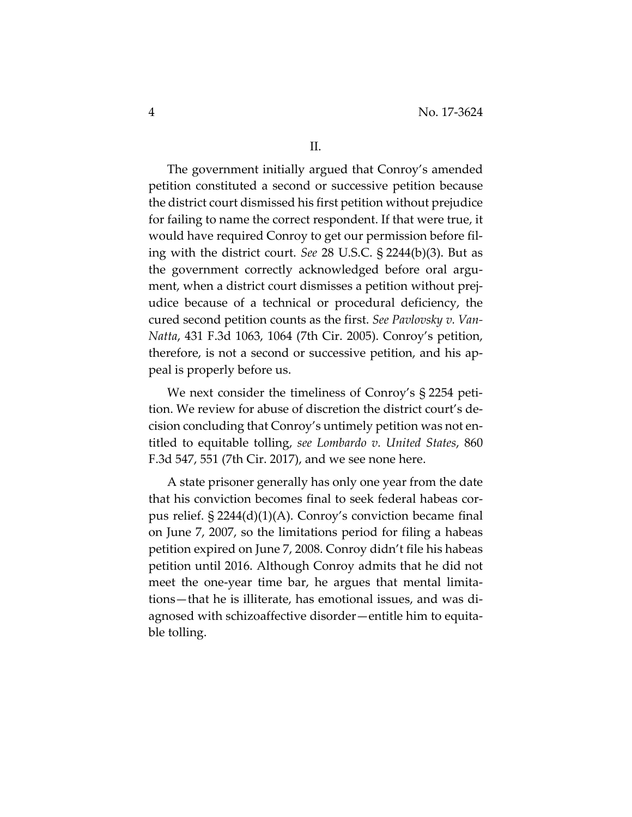The government initially argued that Conroy's amended petition constituted a second or successive petition because the district court dismissed his first petition without prejudice for failing to name the correct respondent. If that were true, it would have required Conroy to get our permission before fil‐ ing with the district court. *See* 28 U.S.C. § 2244(b)(3). But as the government correctly acknowledged before oral argu‐ ment, when a district court dismisses a petition without prej‐ udice because of a technical or procedural deficiency, the cured second petition counts as the first. *See Pavlovsky v. Van‐ Natta*, 431 F.3d 1063, 1064 (7th Cir. 2005). Conroy's petition, therefore, is not a second or successive petition, and his ap‐ peal is properly before us.

We next consider the timeliness of Conroy's § 2254 petition. We review for abuse of discretion the district court's de‐ cision concluding that Conroy's untimely petition was not en‐ titled to equitable tolling, *see Lombardo v. United States*, 860 F.3d 547, 551 (7th Cir. 2017), and we see none here.

A state prisoner generally has only one year from the date that his conviction becomes final to seek federal habeas cor‐ pus relief. § 2244(d)(1)(A). Conroy's conviction became final on June 7, 2007, so the limitations period for filing a habeas petition expired on June 7, 2008. Conroy didn't file his habeas petition until 2016. Although Conroy admits that he did not meet the one‐year time bar, he argues that mental limita‐ tions—that he is illiterate, has emotional issues, and was di‐ agnosed with schizoaffective disorder—entitle him to equita‐ ble tolling.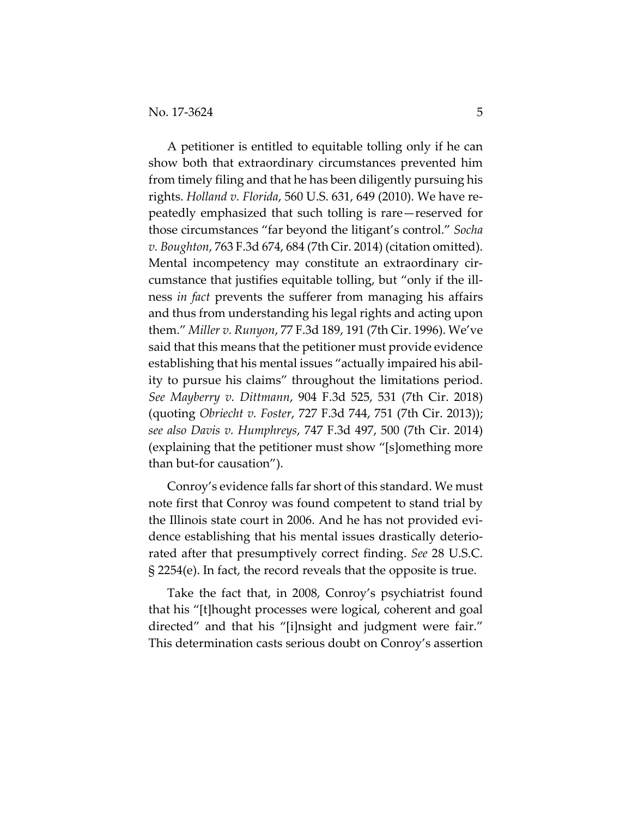A petitioner is entitled to equitable tolling only if he can show both that extraordinary circumstances prevented him from timely filing and that he has been diligently pursuing his rights. *Holland v. Florida*, 560 U.S. 631, 649 (2010). We have re‐ peatedly emphasized that such tolling is rare—reserved for those circumstances "far beyond the litigant's control." *Socha v. Boughton*, 763 F.3d 674, 684 (7th Cir. 2014) (citation omitted). Mental incompetency may constitute an extraordinary cir‐ cumstance that justifies equitable tolling, but "only if the ill‐ ness *in fact* prevents the sufferer from managing his affairs and thus from understanding his legal rights and acting upon them." *Miller v. Runyon*, 77 F.3d 189, 191 (7th Cir. 1996). We've said that this means that the petitioner must provide evidence establishing that his mental issues "actually impaired his abil‐ ity to pursue his claims" throughout the limitations period. *See Mayberry v. Dittmann*, 904 F.3d 525, 531 (7th Cir. 2018) (quoting *Obriecht v. Foster*, 727 F.3d 744, 751 (7th Cir. 2013)); *see also Davis v. Humphreys*, 747 F.3d 497, 500 (7th Cir. 2014) (explaining that the petitioner must show "[s]omething more than but‐for causation").

Conroy's evidence falls far short of this standard. We must note first that Conroy was found competent to stand trial by the Illinois state court in 2006. And he has not provided evi‐ dence establishing that his mental issues drastically deterio‐ rated after that presumptively correct finding. *See* 28 U.S.C. § 2254(e). In fact, the record reveals that the opposite is true.

Take the fact that, in 2008, Conroy's psychiatrist found that his "[t]hought processes were logical, coherent and goal directed" and that his "[i]nsight and judgment were fair." This determination casts serious doubt on Conroy's assertion